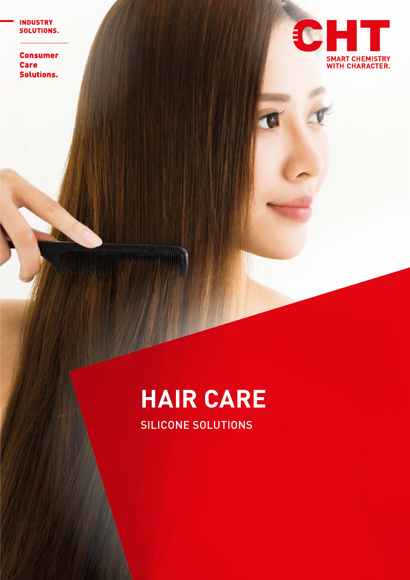**INDUSTRY** SOLUTIONS.

**Consumer Care Solutions.** 



# **HAIR CARE**

SILICONE SOLUTIONS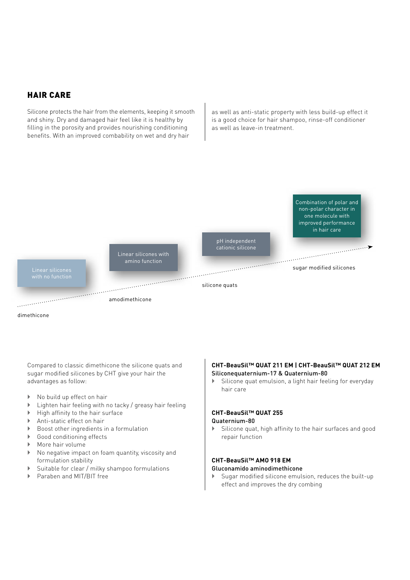## HAIR CARE

Silicone protects the hair from the elements, keeping it smooth and shiny. Dry and damaged hair feel like it is healthy by filling in the porosity and provides nourishing conditioning benefits. With an improved combability on wet and dry hair

as well as anti-static property with less build-up effect it is a good choice for hair shampoo, rinse-off conditioner as well as leave-in treatment.



Compared to classic dimethicone the silicone quats and sugar modified silicones by CHT give your hair the advantages as follow:

- $\triangleright$  No build up effect on hair
- $\blacktriangleright$  Lighten hair feeling with no tacky / greasy hair feeling
- $\blacktriangleright$  High affinity to the hair surface
- $\triangleright$  Anti-static effect on hair
- ▶ Boost other ingredients in a formulation
- Good conditioning effects
- ▶ More hair volume
- ` No negative impact on foam quantity, viscosity and formulation stability
- $\triangleright$  Suitable for clear / milky shampoo formulations
- ▶ Paraben and MIT/BIT free

#### **CHT-BeauSil™ QUAT 211 EM | CHT-BeauSil™ QUAT 212 EM**  Siliconequaternium-17 & Quaternium-80

 $\blacktriangleright$  Silicone quat emulsion, a light hair feeling for everyday hair care

## **CHT-BeauSil™ QUAT 255**

Quaternium-80

 $\blacktriangleright$  Silicone quat, high affinity to the hair surfaces and good repair function

# **CHT-BeauSil™ AMO 918 EM**

## Gluconamido aminodimethicone

 $\blacktriangleright$  Sugar modified silicone emulsion, reduces the built-up effect and improves the dry combing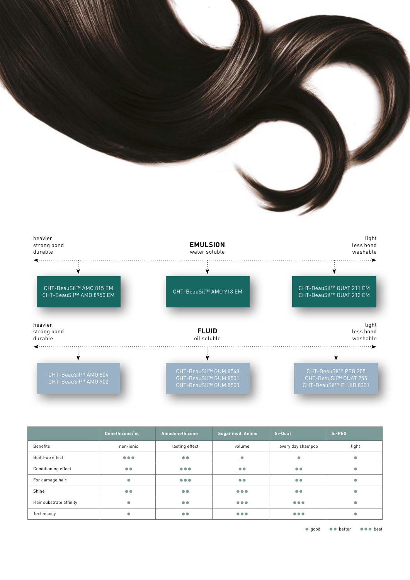



|                         | Dimethicone/ol          | Amodimethicone                                                             | Sugar mod. Amino        | Si-Quat                                                                    | Si-PEG |
|-------------------------|-------------------------|----------------------------------------------------------------------------|-------------------------|----------------------------------------------------------------------------|--------|
| <b>Benefits</b>         | non-ionic               | lasting effect                                                             | volume                  | every day shampoo                                                          | light  |
| Build-up effect         | $\bullet\bullet\bullet$ | $\bullet$                                                                  | $\bullet$               | ۰                                                                          | O      |
| Conditioning effect     | $\bullet$               | $\begin{array}{ccccc}\n\bullet & \bullet & \bullet & \bullet\n\end{array}$ | $\bullet$               | $\bullet\bullet$                                                           |        |
| For damage hair         | $\bullet$               | $\bullet\bullet\bullet$                                                    | $\bullet\bullet$        | $\bullet\bullet$                                                           |        |
| Shine                   | $\bullet$               | $\bullet$                                                                  | $\bullet\bullet\bullet$ | $\bullet\bullet$                                                           |        |
| Hair substrate affinity | $\bullet$               | $\bullet$                                                                  | $\bullet\bullet\bullet$ | $\bullet\bullet\bullet$                                                    |        |
| Technology              | $\bullet$               | $\bullet$                                                                  | $\bullet\bullet\bullet$ | $\begin{array}{ccccc}\n\bullet & \bullet & \bullet & \bullet\n\end{array}$ |        |

● good ●● better ●●● best